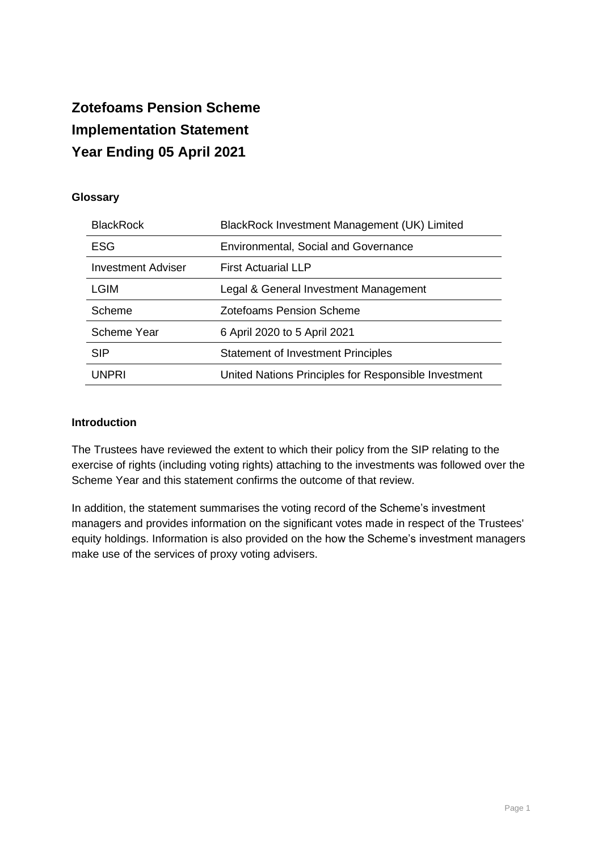# **Zotefoams Pension Scheme Implementation Statement Year Ending 05 April 2021**

# **Glossary**

| <b>BlackRock</b>          | BlackRock Investment Management (UK) Limited         |
|---------------------------|------------------------------------------------------|
| <b>ESG</b>                | <b>Environmental, Social and Governance</b>          |
| <b>Investment Adviser</b> | <b>First Actuarial LLP</b>                           |
| LGIM                      | Legal & General Investment Management                |
| Scheme                    | Zotefoams Pension Scheme                             |
| <b>Scheme Year</b>        | 6 April 2020 to 5 April 2021                         |
| <b>SIP</b>                | <b>Statement of Investment Principles</b>            |
| UNPRI                     | United Nations Principles for Responsible Investment |

#### **Introduction**

The Trustees have reviewed the extent to which their policy from the SIP relating to the exercise of rights (including voting rights) attaching to the investments was followed over the Scheme Year and this statement confirms the outcome of that review.

In addition, the statement summarises the voting record of the Scheme's investment managers and provides information on the significant votes made in respect of the Trustees' equity holdings. Information is also provided on the how the Scheme's investment managers make use of the services of proxy voting advisers.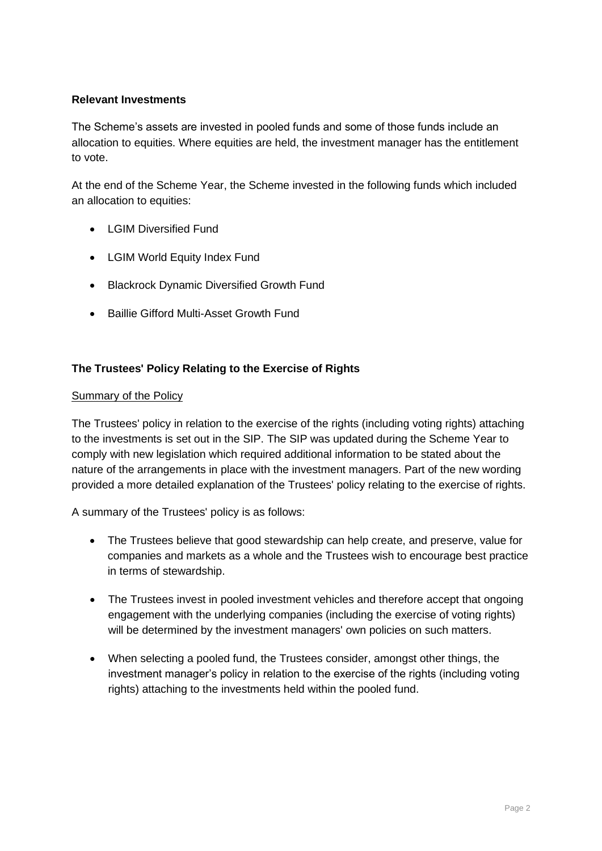## **Relevant Investments**

The Scheme's assets are invested in pooled funds and some of those funds include an allocation to equities. Where equities are held, the investment manager has the entitlement to vote.

At the end of the Scheme Year, the Scheme invested in the following funds which included an allocation to equities:

- I GIM Diversified Fund
- LGIM World Equity Index Fund
- Blackrock Dynamic Diversified Growth Fund
- Baillie Gifford Multi-Asset Growth Fund

# **The Trustees' Policy Relating to the Exercise of Rights**

#### Summary of the Policy

The Trustees' policy in relation to the exercise of the rights (including voting rights) attaching to the investments is set out in the SIP. The SIP was updated during the Scheme Year to comply with new legislation which required additional information to be stated about the nature of the arrangements in place with the investment managers. Part of the new wording provided a more detailed explanation of the Trustees' policy relating to the exercise of rights.

A summary of the Trustees' policy is as follows:

- The Trustees believe that good stewardship can help create, and preserve, value for companies and markets as a whole and the Trustees wish to encourage best practice in terms of stewardship.
- The Trustees invest in pooled investment vehicles and therefore accept that ongoing engagement with the underlying companies (including the exercise of voting rights) will be determined by the investment managers' own policies on such matters.
- When selecting a pooled fund, the Trustees consider, amongst other things, the investment manager's policy in relation to the exercise of the rights (including voting rights) attaching to the investments held within the pooled fund.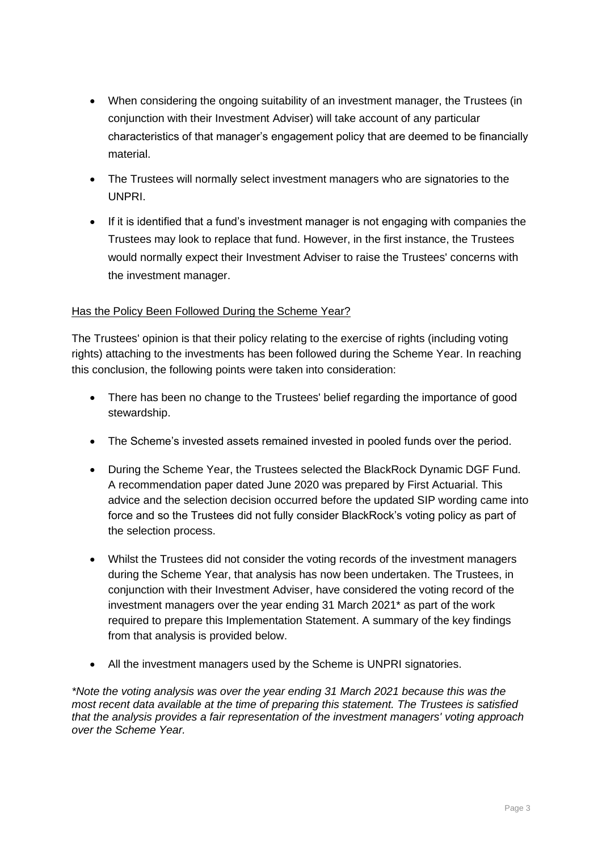- When considering the ongoing suitability of an investment manager, the Trustees (in conjunction with their Investment Adviser) will take account of any particular characteristics of that manager's engagement policy that are deemed to be financially material.
- The Trustees will normally select investment managers who are signatories to the UNPRI.
- If it is identified that a fund's investment manager is not engaging with companies the Trustees may look to replace that fund. However, in the first instance, the Trustees would normally expect their Investment Adviser to raise the Trustees' concerns with the investment manager.

#### Has the Policy Been Followed During the Scheme Year?

The Trustees' opinion is that their policy relating to the exercise of rights (including voting rights) attaching to the investments has been followed during the Scheme Year. In reaching this conclusion, the following points were taken into consideration:

- There has been no change to the Trustees' belief regarding the importance of good stewardship.
- The Scheme's invested assets remained invested in pooled funds over the period.
- During the Scheme Year, the Trustees selected the BlackRock Dynamic DGF Fund. A recommendation paper dated June 2020 was prepared by First Actuarial. This advice and the selection decision occurred before the updated SIP wording came into force and so the Trustees did not fully consider BlackRock's voting policy as part of the selection process.
- Whilst the Trustees did not consider the voting records of the investment managers during the Scheme Year, that analysis has now been undertaken. The Trustees, in conjunction with their Investment Adviser, have considered the voting record of the investment managers over the year ending 31 March 2021\* as part of the work required to prepare this Implementation Statement. A summary of the key findings from that analysis is provided below.
- All the investment managers used by the Scheme is UNPRI signatories.

*\*Note the voting analysis was over the year ending 31 March 2021 because this was the most recent data available at the time of preparing this statement. The Trustees is satisfied that the analysis provides a fair representation of the investment managers' voting approach over the Scheme Year.*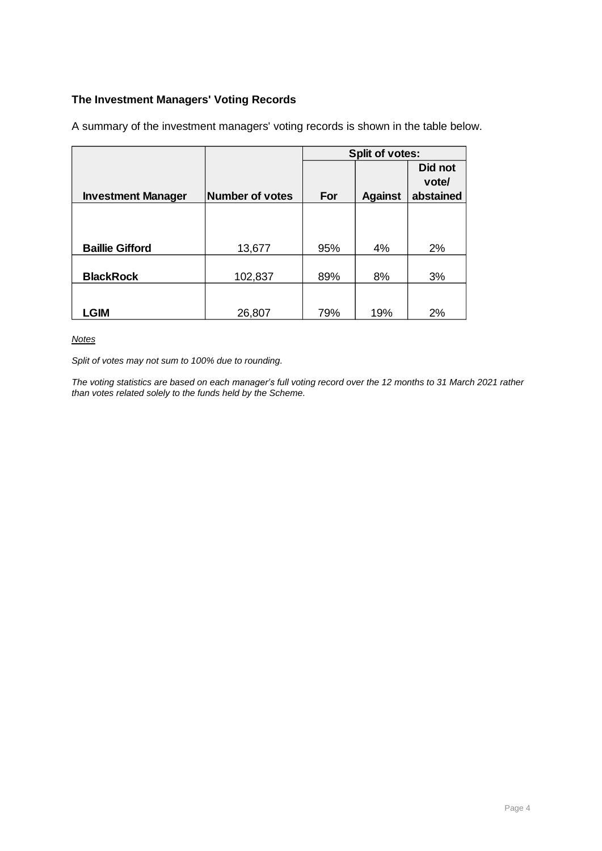# **The Investment Managers' Voting Records**

|                           |                 | <b>Split of votes:</b> |                |           |  |  |
|---------------------------|-----------------|------------------------|----------------|-----------|--|--|
|                           |                 |                        |                | Did not   |  |  |
|                           |                 |                        |                | vote/     |  |  |
| <b>Investment Manager</b> | Number of votes | For                    | <b>Against</b> | abstained |  |  |
|                           |                 |                        |                |           |  |  |
|                           |                 |                        |                |           |  |  |
|                           |                 |                        |                |           |  |  |
| <b>Baillie Gifford</b>    | 13,677          | 95%                    | 4%             | 2%        |  |  |
|                           |                 |                        |                |           |  |  |
| <b>BlackRock</b>          | 102,837         | 89%                    | 8%             | 3%        |  |  |
|                           |                 |                        |                |           |  |  |
|                           |                 |                        |                |           |  |  |
| <b>LGIM</b>               | 26,807          | 79%                    | 19%            | 2%        |  |  |

A summary of the investment managers' voting records is shown in the table below.

#### *Notes*

*Split of votes may not sum to 100% due to rounding.*

*The voting statistics are based on each manager's full voting record over the 12 months to 31 March 2021 rather than votes related solely to the funds held by the Scheme.*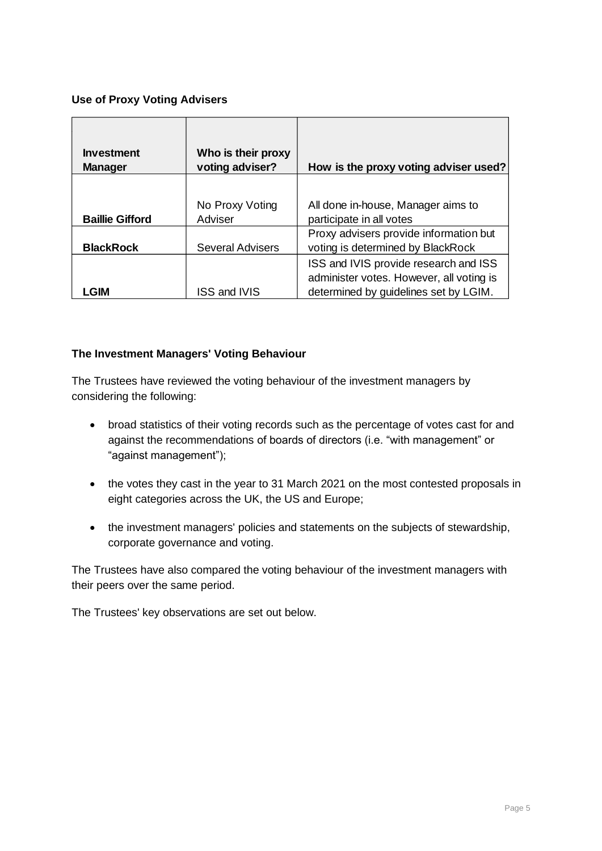# **Use of Proxy Voting Advisers**

| <b>Investment</b><br><b>Manager</b> | Who is their proxy<br>voting adviser? | How is the proxy voting adviser used?                                                                                      |
|-------------------------------------|---------------------------------------|----------------------------------------------------------------------------------------------------------------------------|
| <b>Baillie Gifford</b>              | No Proxy Voting<br>Adviser            | All done in-house, Manager aims to<br>participate in all votes                                                             |
| <b>BlackRock</b>                    | <b>Several Advisers</b>               | Proxy advisers provide information but<br>voting is determined by BlackRock                                                |
| GIM                                 | ISS and IVIS                          | ISS and IVIS provide research and ISS<br>administer votes. However, all voting is<br>determined by guidelines set by LGIM. |

#### **The Investment Managers' Voting Behaviour**

The Trustees have reviewed the voting behaviour of the investment managers by considering the following:

- broad statistics of their voting records such as the percentage of votes cast for and against the recommendations of boards of directors (i.e. "with management" or "against management");
- the votes they cast in the year to 31 March 2021 on the most contested proposals in eight categories across the UK, the US and Europe;
- the investment managers' policies and statements on the subjects of stewardship, corporate governance and voting.

The Trustees have also compared the voting behaviour of the investment managers with their peers over the same period.

The Trustees' key observations are set out below.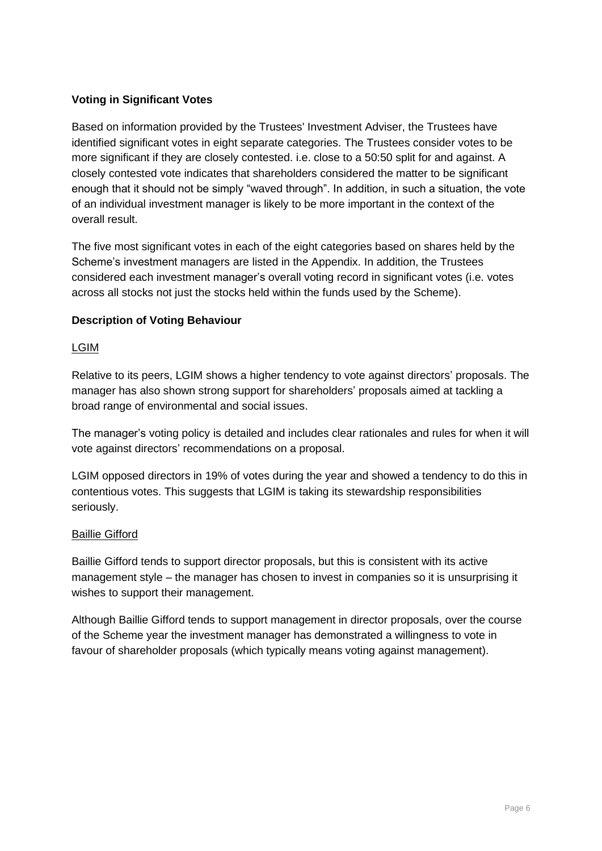# **Voting in Significant Votes**

Based on information provided by the Trustees' Investment Adviser, the Trustees have identified significant votes in eight separate categories. The Trustees consider votes to be more significant if they are closely contested. i.e. close to a 50:50 split for and against. A closely contested vote indicates that shareholders considered the matter to be significant enough that it should not be simply "waved through". In addition, in such a situation, the vote of an individual investment manager is likely to be more important in the context of the overall result.

The five most significant votes in each of the eight categories based on shares held by the Scheme's investment managers are listed in the Appendix. In addition, the Trustees considered each investment manager's overall voting record in significant votes (i.e. votes across all stocks not just the stocks held within the funds used by the Scheme).

# **Description of Voting Behaviour**

#### LGIM

Relative to its peers, LGIM shows a higher tendency to vote against directors' proposals. The manager has also shown strong support for shareholders' proposals aimed at tackling a broad range of environmental and social issues.

The manager's voting policy is detailed and includes clear rationales and rules for when it will vote against directors' recommendations on a proposal.

LGIM opposed directors in 19% of votes during the year and showed a tendency to do this in contentious votes. This suggests that LGIM is taking its stewardship responsibilities seriously.

#### Baillie Gifford

Baillie Gifford tends to support director proposals, but this is consistent with its active management style – the manager has chosen to invest in companies so it is unsurprising it wishes to support their management.

Although Baillie Gifford tends to support management in director proposals, over the course of the Scheme year the investment manager has demonstrated a willingness to vote in favour of shareholder proposals (which typically means voting against management).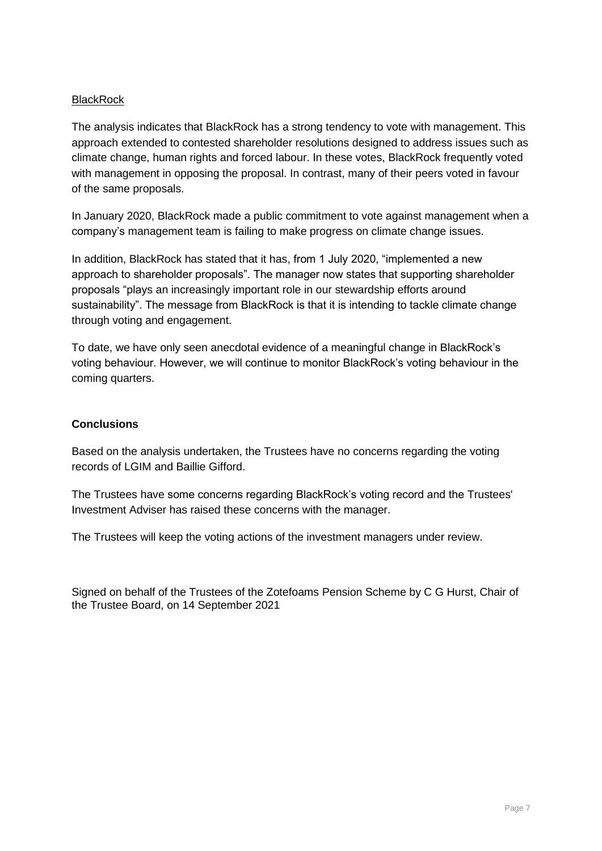## **BlackRock**

The analysis indicates that BlackRock has a strong tendency to vote with management. This approach extended to contested shareholder resolutions designed to address issues such as climate change, human rights and forced labour. In these votes, BlackRock frequently voted with management in opposing the proposal. In contrast, many of their peers voted in favour of the same proposals.

In January 2020, BlackRock made a public commitment to vote against management when a company's management team is failing to make progress on climate change issues.

In addition, BlackRock has stated that it has, from 1 July 2020, "implemented a new approach to shareholder proposals". The manager now states that supporting shareholder proposals "plays an increasingly important role in our stewardship efforts around sustainability". The message from BlackRock is that it is intending to tackle climate change through voting and engagement.

To date, we have only seen anecdotal evidence of a meaningful change in BlackRock's voting behaviour. However, we will continue to monitor BlackRock's voting behaviour in the coming quarters.

#### **Conclusions**

Based on the analysis undertaken, the Trustees have no concerns regarding the voting records of LGIM and Baillie Gifford.

The Trustees have some concerns regarding BlackRock's voting record and the Trustees' Investment Adviser has raised these concerns with the manager.

The Trustees will keep the voting actions of the investment managers under review.

Signed on behalf of the Trustees of the Zotefoams Pension Scheme by C G Hurst, Chair of the Trustee Board, on 14 September 2021